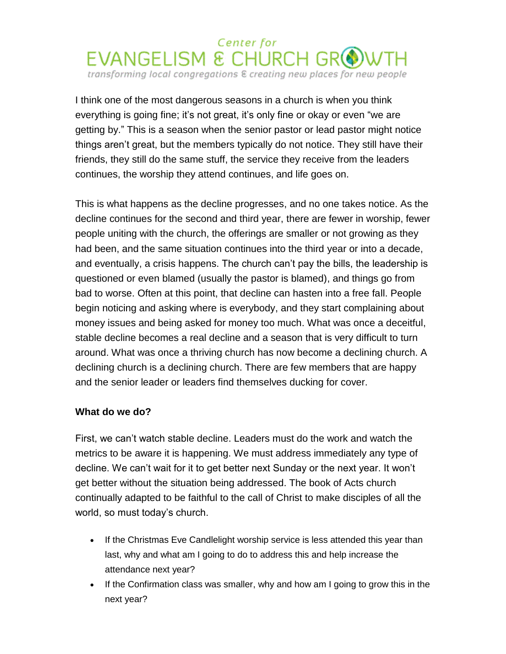## Center for  $EVANGELISM$  & CHURCH  $GR$ transforming local congregations & creating new places for new people

I think one of the most dangerous seasons in a church is when you think everything is going fine; it's not great, it's only fine or okay or even "we are getting by." This is a season when the senior pastor or lead pastor might notice things aren't great, but the members typically do not notice. They still have their friends, they still do the same stuff, the service they receive from the leaders continues, the worship they attend continues, and life goes on.

This is what happens as the decline progresses, and no one takes notice. As the decline continues for the second and third year, there are fewer in worship, fewer people uniting with the church, the offerings are smaller or not growing as they had been, and the same situation continues into the third year or into a decade, and eventually, a crisis happens. The church can't pay the bills, the leadership is questioned or even blamed (usually the pastor is blamed), and things go from bad to worse. Often at this point, that decline can hasten into a free fall. People begin noticing and asking where is everybody, and they start complaining about money issues and being asked for money too much. What was once a deceitful, stable decline becomes a real decline and a season that is very difficult to turn around. What was once a thriving church has now become a declining church. A declining church is a declining church. There are few members that are happy and the senior leader or leaders find themselves ducking for cover.

## **What do we do?**

First, we can't watch stable decline. Leaders must do the work and watch the metrics to be aware it is happening. We must address immediately any type of decline. We can't wait for it to get better next Sunday or the next year. It won't get better without the situation being addressed. The book of Acts church continually adapted to be faithful to the call of Christ to make disciples of all the world, so must today's church.

- If the Christmas Eve Candlelight worship service is less attended this year than last, why and what am I going to do to address this and help increase the attendance next year?
- If the Confirmation class was smaller, why and how am I going to grow this in the next year?